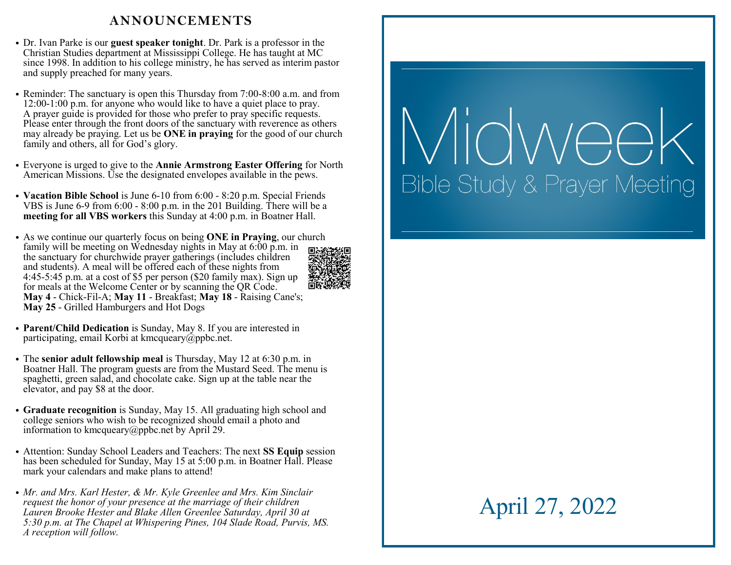### **ANNOUNCEMENTS**

- Dr. Ivan Parke is our **guest speaker tonight**. Dr. Park is a professor in the Christian Studies department at Mississippi College. He has taught at MC since 1998. In addition to his college ministry, he has served as interim pastor and supply preached for many years.
- Reminder: The sanctuary is open this Thursday from 7:00-8:00 a.m. and from 12:00-1:00 p.m. for anyone who would like to have a quiet place to pray. A prayer guide is provided for those who prefer to pray specific requests. Please enter through the front doors of the sanctuary with reverence as others may already be praying. Let us be **ONE in praying** for the good of our church family and others, all for God's glory.
- Everyone is urged to give to the **Annie Armstrong Easter Offering** for North American Missions. Use the designated envelopes available in the pews.
- **Vacation Bible School** is June 6-10 from 6:00 8:20 p.m. Special Friends VBS is June 6-9 from 6:00 - 8:00 p.m. in the 201 Building. There will be a **meeting for all VBS workers** this Sunday at 4:00 p.m. in Boatner Hall.
- As we continue our quarterly focus on being **ONE in Praying**, our church family will be meeting on Wednesday nights in May at 6:00 p.m. in the sanctuary for churchwide prayer gatherings (includes children and students). A meal will be offered each of these nights from 4:45-5:45 p.m. at a cost of \$5 per person (\$20 family max). Sign up for meals at the Welcome Center or by scanning the QR Code. **May 4** - Chick-Fil-A; **May 11** - Breakfast; **May 18** - Raising Cane's; **May 25** - Grilled Hamburgers and Hot Dogs



- **Parent/Child Dedication** is Sunday, May 8. If you are interested in participating, email Korbi at kmcqueary@ppbc.net.
- The **senior adult fellowship meal** is Thursday, May 12 at 6:30 p.m. in Boatner Hall. The program guests are from the Mustard Seed. The menu is spaghetti, green salad, and chocolate cake. Sign up at the table near the elevator, and pay \$8 at the door.
- **Graduate recognition** is Sunday, May 15. All graduating high school and college seniors who wish to be recognized should email a photo and information to kmcqueary@ppbc.net by April 29.
- Attention: Sunday School Leaders and Teachers: The next **SS Equip** session has been scheduled for Sunday, May 15 at 5:00 p.m. in Boatner Hall. Please mark your calendars and make plans to attend!
- *Mr. and Mrs. Karl Hester, & Mr. Kyle Greenlee and Mrs. Kim Sinclair request the honor of your presence at the marriage of their children Lauren Brooke Hester and Blake Allen Greenlee Saturday, April 30 at 5:30 p.m. at The Chapel at Whispering Pines, 104 Slade Road, Purvis, MS. A reception will follow.*

# *ligwee* **Bible Study & Prayer Meeting**

# April 27, 2022